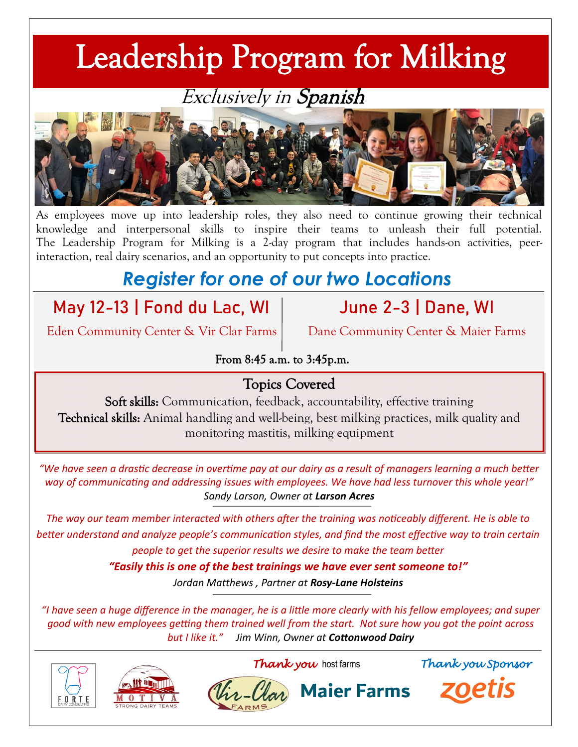# Leadership Program for Milking

#### Exclusively in Spanish



As employees move up into leadership roles, they also need to continue growing their technical knowledge and interpersonal skills to inspire their teams to unleash their full potential. The Leadership Program for Milking is a 2-day program that includes hands-on activities, peerinteraction, real dairy scenarios, and an opportunity to put concepts into practice.

## *Register for one of our two Locations*

### **May 12-13 | Fond du Lac, WI**

Eden Community Center & Vir Clar Farms

**June 2-3 | Dane, WI**

Dane Community Center & Maier Farms

From 8:45 a.m. to 3:45p.m.

#### Topics Covered

Soft skills: Communication, feedback, accountability, effective training Technical skills: Animal handling and well-being, best milking practices, milk quality and monitoring mastitis, milking equipment

*"We have seen a drastic decrease in overtime pay at our dairy as a result of managers learning a much better way of communicating and addressing issues with employees. We have had less turnover this whole year!" Sandy Larson, Owner at Larson Acres*

*The way our team member interacted with others after the training was noticeably different. He is able to better understand and analyze people's communication styles, and find the most effective way to train certain people to get the superior results we desire to make the team better* 

*"Easily this is one of the best trainings we have ever sent someone to!"* 

*Jordan Matthews , Partner at Rosy-Lane Holsteins*

*"I have seen a huge difference in the manager, he is a little more clearly with his fellow employees; and super good with new employees getting them trained well from the start. Not sure how you got the point across but I like it." Jim Winn, Owner at Cottonwood Dairy*







*Thank you* host farms *Thank you Sponsor*